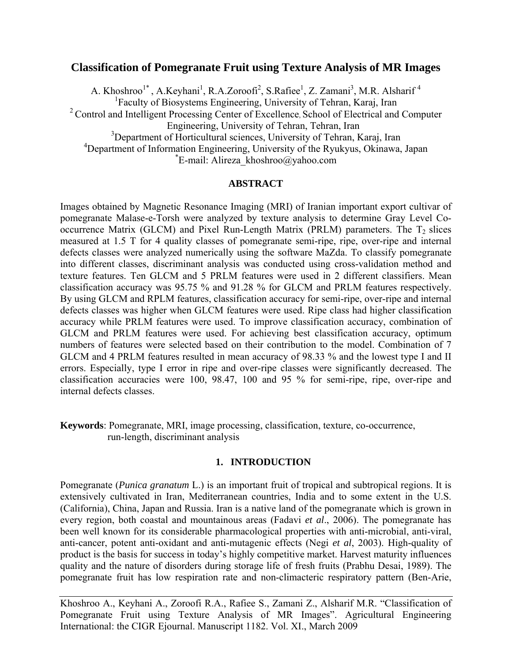## **Classification of Pomegranate Fruit using Texture Analysis of MR Images**

A. Khoshroo<sup>1\*</sup>, A.Keyhani<sup>1</sup>, R.A.Zoroofi<sup>2</sup>, S.Rafiee<sup>1</sup>, Z. Zamani<sup>3</sup>, M.R. Alsharif<sup>4</sup> 1 Faculty of Biosystems Engineering, University of Tehran, Karaj, Iran  $2^2$  Control and Intelligent Processing Center of Excellence, School of Electrical and Computer Engineering, University of Tehran, Tehran, Iran <sup>3</sup>Department of Horticultural sciences, University of Tehran, Karaj, Iran <sup>4</sup>Department of Information Engineering, University of the Ryukyus, Okinawa, Japan \*E mail: Aliraza, khoshroo@yahoo.com  $E$ -mail: Alireza khoshroo@yahoo.com

#### **ABSTRACT**

Images obtained by Magnetic Resonance Imaging (MRI) of Iranian important export cultivar of pomegranate Malase-e-Torsh were analyzed by texture analysis to determine Gray Level Cooccurrence Matrix (GLCM) and Pixel Run-Length Matrix (PRLM) parameters. The  $T_2$  slices measured at 1.5 T for 4 quality classes of pomegranate semi-ripe, ripe, over-ripe and internal defects classes were analyzed numerically using the software MaZda. To classify pomegranate into different classes, discriminant analysis was conducted using cross-validation method and texture features. Ten GLCM and 5 PRLM features were used in 2 different classifiers. Mean classification accuracy was 95.75 % and 91.28 % for GLCM and PRLM features respectively. By using GLCM and RPLM features, classification accuracy for semi-ripe, over-ripe and internal defects classes was higher when GLCM features were used. Ripe class had higher classification accuracy while PRLM features were used. To improve classification accuracy, combination of GLCM and PRLM features were used. For achieving best classification accuracy, optimum numbers of features were selected based on their contribution to the model. Combination of 7 GLCM and 4 PRLM features resulted in mean accuracy of 98.33 % and the lowest type I and II errors. Especially, type I error in ripe and over-ripe classes were significantly decreased. The classification accuracies were 100, 98.47, 100 and 95 % for semi-ripe, ripe, over-ripe and internal defects classes.

**Keywords**: Pomegranate, MRI, image processing, classification, texture, co-occurrence, run-length, discriminant analysis

## **1. INTRODUCTION**

Pomegranate (*Punica granatum* L.) is an important fruit of tropical and subtropical regions. It is extensively cultivated in Iran, Mediterranean countries, India and to some extent in the U.S. (California), China, Japan and Russia. Iran is a native land of the pomegranate which is grown in every region, both coastal and mountainous areas (Fadavi *et al*., 2006). The pomegranate has been well known for its considerable pharmacological properties with anti-microbial, anti-viral, anti-cancer, potent anti-oxidant and anti-mutagenic effects (Negi *et al*, 2003). High-quality of product is the basis for success in today's highly competitive market. Harvest maturity influences quality and the nature of disorders during storage life of fresh fruits (Prabhu Desai, 1989). The pomegranate fruit has low respiration rate and non-climacteric respiratory pattern (Ben-Arie,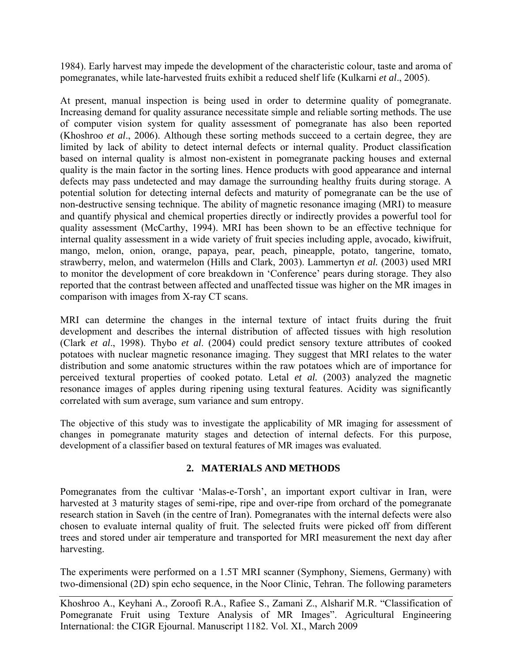1984). Early harvest may impede the development of the characteristic colour, taste and aroma of pomegranates, while late-harvested fruits exhibit a reduced shelf life (Kulkarni *et al*., 2005).

At present, manual inspection is being used in order to determine quality of pomegranate. Increasing demand for quality assurance necessitate simple and reliable sorting methods. The use of computer vision system for quality assessment of pomegranate has also been reported (Khoshroo *et al*., 2006). Although these sorting methods succeed to a certain degree, they are limited by lack of ability to detect internal defects or internal quality. Product classification based on internal quality is almost non-existent in pomegranate packing houses and external quality is the main factor in the sorting lines. Hence products with good appearance and internal defects may pass undetected and may damage the surrounding healthy fruits during storage. A potential solution for detecting internal defects and maturity of pomegranate can be the use of non-destructive sensing technique. The ability of magnetic resonance imaging (MRI) to measure and quantify physical and chemical properties directly or indirectly provides a powerful tool for quality assessment (McCarthy, 1994). MRI has been shown to be an effective technique for internal quality assessment in a wide variety of fruit species including apple, avocado, kiwifruit, mango, melon, onion, orange, papaya, pear, peach, pineapple, potato, tangerine, tomato, strawberry, melon, and watermelon (Hills and Clark, 2003). Lammertyn *et al.* (2003) used MRI to monitor the development of core breakdown in 'Conference' pears during storage. They also reported that the contrast between affected and unaffected tissue was higher on the MR images in comparison with images from X-ray CT scans.

MRI can determine the changes in the internal texture of intact fruits during the fruit development and describes the internal distribution of affected tissues with high resolution (Clark *et al*., 1998). Thybo *et al*. (2004) could predict sensory texture attributes of cooked potatoes with nuclear magnetic resonance imaging. They suggest that MRI relates to the water distribution and some anatomic structures within the raw potatoes which are of importance for perceived textural properties of cooked potato. Letal *et al.* (2003) analyzed the magnetic resonance images of apples during ripening using textural features. Acidity was significantly correlated with sum average, sum variance and sum entropy.

The objective of this study was to investigate the applicability of MR imaging for assessment of changes in pomegranate maturity stages and detection of internal defects. For this purpose, development of a classifier based on textural features of MR images was evaluated.

# **2. MATERIALS AND METHODS**

Pomegranates from the cultivar 'Malas-e-Torsh', an important export cultivar in Iran, were harvested at 3 maturity stages of semi-ripe, ripe and over-ripe from orchard of the pomegranate research station in Saveh (in the centre of Iran). Pomegranates with the internal defects were also chosen to evaluate internal quality of fruit. The selected fruits were picked off from different trees and stored under air temperature and transported for MRI measurement the next day after harvesting.

The experiments were performed on a 1.5T MRI scanner (Symphony, Siemens, Germany) with two-dimensional (2D) spin echo sequence, in the Noor Clinic, Tehran. The following parameters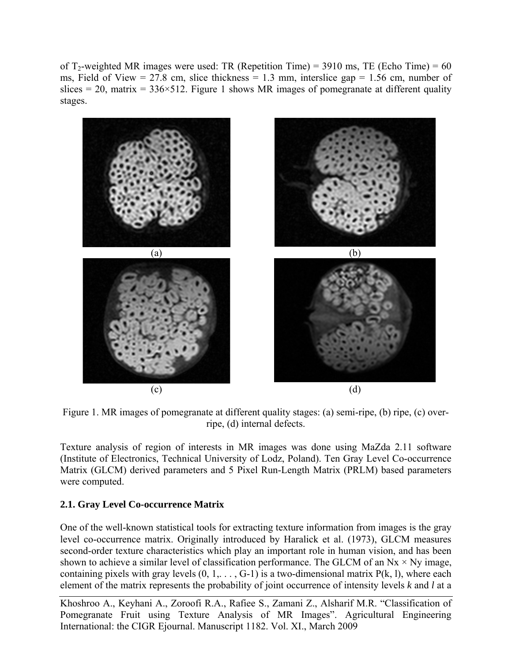of  $T_2$ -weighted MR images were used: TR (Repetition Time) = 3910 ms, TE (Echo Time) = 60 ms, Field of View = 27.8 cm, slice thickness = 1.3 mm, interslice gap = 1.56 cm, number of slices = 20, matrix =  $336 \times 512$ . Figure 1 shows MR images of pomegranate at different quality stages.



Figure 1. MR images of pomegranate at different quality stages: (a) semi-ripe, (b) ripe, (c) overripe, (d) internal defects.

Texture analysis of region of interests in MR images was done using MaZda 2.11 software (Institute of Electronics, Technical University of Lodz, Poland). Ten Gray Level Co-occurrence Matrix (GLCM) derived parameters and 5 Pixel Run-Length Matrix (PRLM) based parameters were computed.

# **2.1. Gray Level Co-occurrence Matrix**

One of the well-known statistical tools for extracting texture information from images is the gray level co-occurrence matrix. Originally introduced by Haralick et al. (1973), GLCM measures second-order texture characteristics which play an important role in human vision, and has been shown to achieve a similar level of classification performance. The GLCM of an  $Nx \times Ny$  image, containing pixels with gray levels  $(0, 1, \ldots, G-1)$  is a two-dimensional matrix  $P(k, l)$ , where each element of the matrix represents the probability of joint occurrence of intensity levels *k* and *l* at a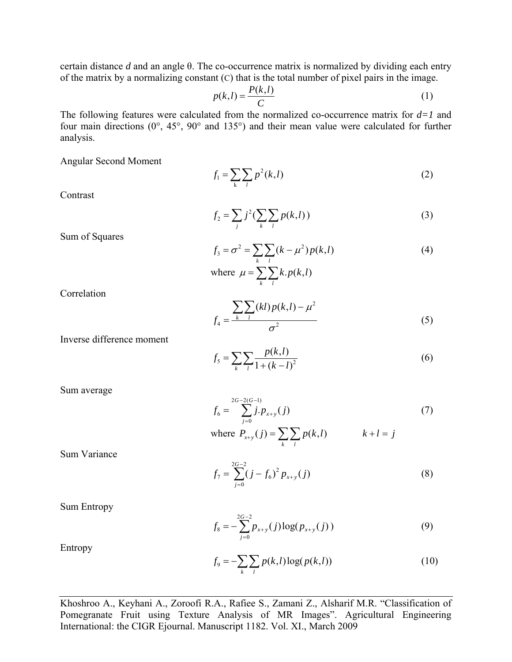certain distance *d* and an angle θ. The co-occurrence matrix is normalized by dividing each entry of the matrix by a normalizing constant (C) that is the total number of pixel pairs in the image.

$$
p(k,l) = \frac{P(k,l)}{C}
$$
 (1)

The following features were calculated from the normalized co-occurrence matrix for *d=1* and four main directions (0°, 45°, 90° and 135°) and their mean value were calculated for further analysis.

Angular Second Moment

$$
f_1 = \sum_{k} \sum_{l} p^2(k, l)
$$
 (2)

**Contrast** 

$$
f_2 = \sum_{j} j^2 (\sum_{k} \sum_{l} p(k, l))
$$
 (3)

Sum of Squares

$$
f_3 = \sigma^2 = \sum_{k} \sum_{l} (k - \mu^2) p(k, l)
$$
  
where  $\mu = \sum_{k} \sum_{l} k p(k, l)$  (4)

**Correlation** 

$$
f_4 = \frac{\sum_{k} \sum_{l} (kl) p(k, l) - \mu^2}{\sigma^2}
$$
 (5)

Inverse difference moment

$$
f_5 = \sum_{k} \sum_{l} \frac{p(k,l)}{1 + (k-l)^2}
$$
 (6)

Sum average

$$
f_6 = \sum_{j=0}^{2G-2(G-1)} j \cdot p_{x+y}(j)
$$
  
where  $P_{x+y}(j) = \sum_{k} \sum_{l} p(k,l)$   $k+l = j$  (7)

Sum Variance

$$
f_7 = \sum_{j=0}^{2G-2} (j - f_6)^2 p_{x+y}(j)
$$
 (8)

Sum Entropy

$$
f_8 = -\sum_{j=0}^{2G-2} p_{x+y}(j) \log(p_{x+y}(j))
$$
 (9)

Entropy

$$
f_9 = -\sum_{k} \sum_{l} p(k, l) \log(p(k, l))
$$
 (10)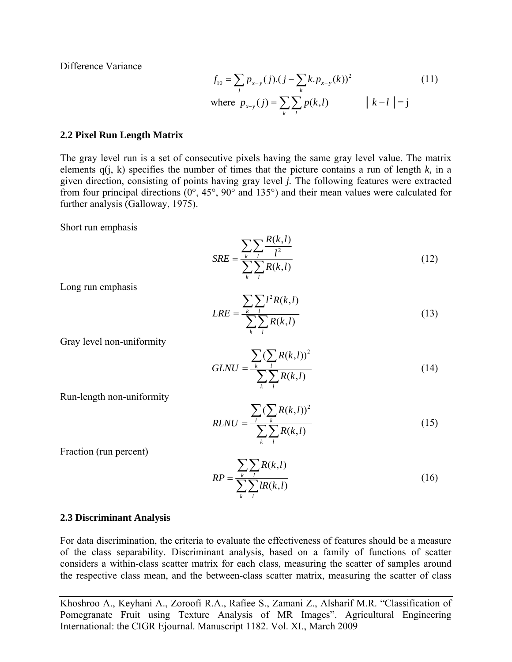Difference Variance

$$
f_{10} = \sum_{j} p_{x-y}(j) \cdot (j - \sum_{k} k \cdot p_{x-y}(k))^{2}
$$
 (11)  
where  $p_{x-y}(j) = \sum_{k} \sum_{l} p(k, l)$   $|k - l| = j$ 

#### **2.2 Pixel Run Length Matrix**

The gray level run is a set of consecutive pixels having the same gray level value. The matrix elements  $q(i, k)$  specifies the number of times that the picture contains a run of length  $k$ , in a given direction, consisting of points having gray level *j.* The following features were extracted from four principal directions (0°, 45°, 90° and 135°) and their mean values were calculated for further analysis (Galloway, 1975).

Short run emphasis

$$
SRE = \frac{\sum_{k} \sum_{l} \frac{R(k,l)}{l^2}}{\sum_{k} \sum_{l} R(k,l)}
$$
(12)

Long run emphasis

$$
LRE = \frac{\sum_{k} \sum_{l} l^{2} R(k, l)}{\sum_{k} \sum_{l} R(k, l)}
$$
(13)

Gray level non-uniformity

$$
GLNU = \frac{\sum_{k} (\sum_{l} R(k, l))^2}{\sum_{k} \sum_{l} R(k, l)}
$$
(14)

Run-length non-uniformity

$$
RLNU = \frac{\sum_{l} (\sum_{k} R(k, l))^2}{\sum_{k} \sum_{l} R(k, l)}
$$
(15)

Fraction (run percent)

$$
RP = \frac{\sum_{k} \sum_{l} R(k,l)}{\sum_{k} \sum_{l} lR(k,l)}
$$
(16)

#### **2.3 Discriminant Analysis**

For data discrimination, the criteria to evaluate the effectiveness of features should be a measure of the class separability. Discriminant analysis, based on a family of functions of scatter considers a within-class scatter matrix for each class, measuring the scatter of samples around the respective class mean, and the between-class scatter matrix, measuring the scatter of class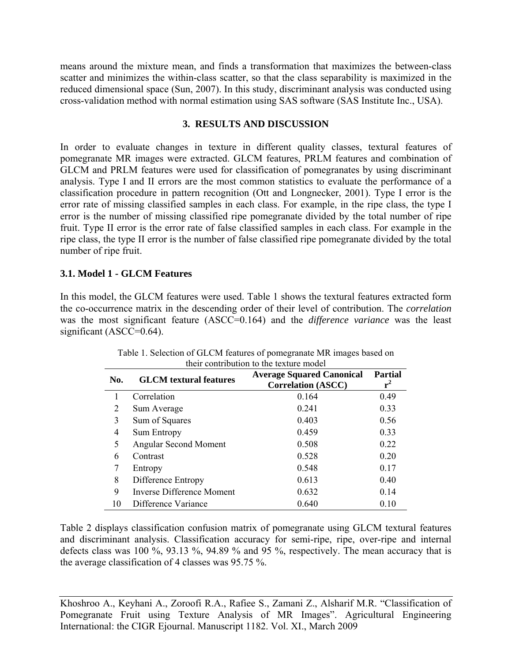means around the mixture mean, and finds a transformation that maximizes the between-class scatter and minimizes the within-class scatter, so that the class separability is maximized in the reduced dimensional space (Sun, 2007). In this study, discriminant analysis was conducted using cross-validation method with normal estimation using SAS software (SAS Institute Inc., USA).

#### **3. RESULTS AND DISCUSSION**

In order to evaluate changes in texture in different quality classes, textural features of pomegranate MR images were extracted. GLCM features, PRLM features and combination of GLCM and PRLM features were used for classification of pomegranates by using discriminant analysis. Type I and II errors are the most common statistics to evaluate the performance of a classification procedure in pattern recognition (Ott and Longnecker, 2001). Type I error is the error rate of missing classified samples in each class. For example, in the ripe class, the type I error is the number of missing classified ripe pomegranate divided by the total number of ripe fruit. Type II error is the error rate of false classified samples in each class. For example in the ripe class, the type II error is the number of false classified ripe pomegranate divided by the total number of ripe fruit.

## **3.1. Model 1 - GLCM Features**

In this model, the GLCM features were used. Table 1 shows the textural features extracted form the co-occurrence matrix in the descending order of their level of contribution. The *correlation* was the most significant feature (ASCC=0.164) and the *difference variance* was the least significant (ASCC=0.64).

| No. | <b>GLCM</b> textural features | <b>Average Squared Canonical</b><br><b>Correlation (ASCC)</b> | <b>Partial</b><br>$r^2$ |
|-----|-------------------------------|---------------------------------------------------------------|-------------------------|
|     | Correlation                   | 0.164                                                         | 0.49                    |
| 2   | Sum Average                   | 0.241                                                         | 0.33                    |
| 3   | Sum of Squares                | 0.403                                                         | 0.56                    |
| 4   | <b>Sum Entropy</b>            | 0.459                                                         | 0.33                    |
| 5   | <b>Angular Second Moment</b>  | 0.508                                                         | 0.22                    |
| 6   | Contrast                      | 0.528                                                         | 0.20                    |
| 7   | Entropy                       | 0.548                                                         | 0.17                    |
| 8   | Difference Entropy            | 0.613                                                         | 0.40                    |
| 9   | Inverse Difference Moment     | 0.632                                                         | 0.14                    |
| 10  | Difference Variance           | 0.640                                                         | 0.10                    |

| Table 1. Selection of GLCM features of pomegranate MR images based on |  |
|-----------------------------------------------------------------------|--|
| their contribution to the texture model                               |  |

Table 2 displays classification confusion matrix of pomegranate using GLCM textural features and discriminant analysis. Classification accuracy for semi-ripe, ripe, over-ripe and internal defects class was 100 %, 93.13 %, 94.89 % and 95 %, respectively. The mean accuracy that is the average classification of 4 classes was 95.75 %.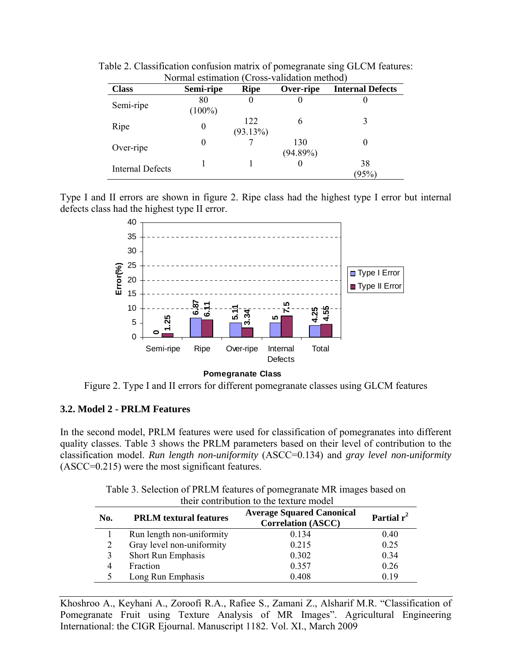| <b>Class</b>            | Semi-ripe       | <b>Ripe</b>     | Over-ripe          | <b>Internal Defects</b> |
|-------------------------|-----------------|-----------------|--------------------|-------------------------|
| Semi-ripe               | 80<br>$(100\%)$ | O               | O                  |                         |
| Ripe                    | $\theta$        | 122<br>(93.13%) | 6                  |                         |
| Over-ripe               | 0               |                 | 130<br>$(94.89\%)$ |                         |
| <b>Internal Defects</b> |                 |                 |                    | 38<br>(95%)             |

Table 2. Classification confusion matrix of pomegranate sing GLCM features: Normal estimation (Cross-validation method)

Type I and II errors are shown in figure 2. Ripe class had the highest type I error but internal defects class had the highest type II error.



**Pomegranate Class**

Figure 2. Type I and II errors for different pomegranate classes using GLCM features

## **3.2. Model 2 - PRLM Features**

In the second model, PRLM features were used for classification of pomegranates into different quality classes. Table 3 shows the PRLM parameters based on their level of contribution to the classification model. *Run length non-uniformity* (ASCC=0.134) and *gray level non-uniformity*  (ASCC=0.215) were the most significant features.

> Table 3. Selection of PRLM features of pomegranate MR images based on their contribution to the texture model

| <b>PRLM</b> textural features<br>No. |                           | <b>Average Squared Canonical</b><br><b>Correlation (ASCC)</b> | Partial $r^2$ |  |
|--------------------------------------|---------------------------|---------------------------------------------------------------|---------------|--|
|                                      | Run length non-uniformity | 0.134                                                         | 0.40          |  |
| 2                                    | Gray level non-uniformity | 0.215                                                         | 0.25          |  |
| 3                                    | <b>Short Run Emphasis</b> | 0.302                                                         | 0.34          |  |
| 4                                    | Fraction                  | 0.357                                                         | 0.26          |  |
|                                      | Long Run Emphasis         | 0.408                                                         | 0.19          |  |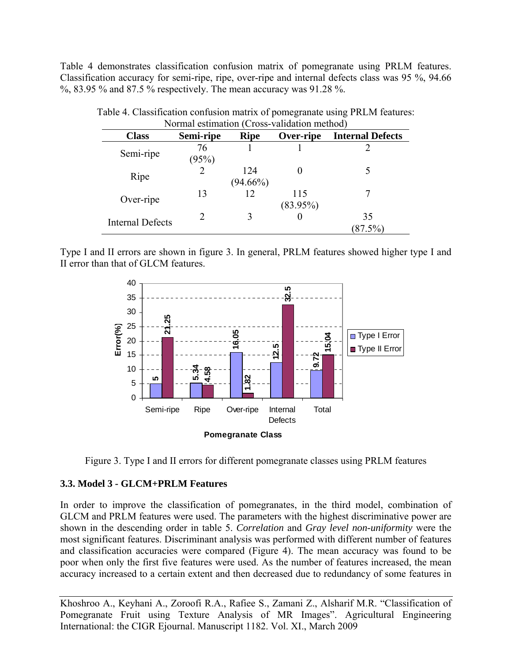Table 4 demonstrates classification confusion matrix of pomegranate using PRLM features. Classification accuracy for semi-ripe, ripe, over-ripe and internal defects class was 95 %, 94.66 %, 83.95 % and 87.5 % respectively. The mean accuracy was 91.28 %.

| Normal estimation (Cross-validation method) |                |             |             |                         |  |
|---------------------------------------------|----------------|-------------|-------------|-------------------------|--|
| <b>Class</b>                                | Semi-ripe      | <b>Ripe</b> | Over-ripe   | <b>Internal Defects</b> |  |
| Semi-ripe                                   | 76             |             |             |                         |  |
|                                             | (95%)          |             |             |                         |  |
| Ripe                                        | $\overline{2}$ | 124         |             |                         |  |
|                                             |                | $(94.66\%)$ |             |                         |  |
| Over-ripe                                   | 13             | 12          | 115         |                         |  |
|                                             |                |             | $(83.95\%)$ |                         |  |
|                                             | C              |             |             | 35                      |  |
| <b>Internal Defects</b>                     |                |             |             | (87.5%)                 |  |

Table 4. Classification confusion matrix of pomegranate using PRLM features: Normal estimation (Cross-validation method)

Type I and II errors are shown in figure 3. In general, PRLM features showed higher type I and II error than that of GLCM features.





## **3.3. Model 3 - GLCM+PRLM Features**

In order to improve the classification of pomegranates, in the third model, combination of GLCM and PRLM features were used. The parameters with the highest discriminative power are shown in the descending order in table 5. *Correlation* and *Gray level non-uniformity* were the most significant features. Discriminant analysis was performed with different number of features and classification accuracies were compared (Figure 4). The mean accuracy was found to be poor when only the first five features were used. As the number of features increased, the mean accuracy increased to a certain extent and then decreased due to redundancy of some features in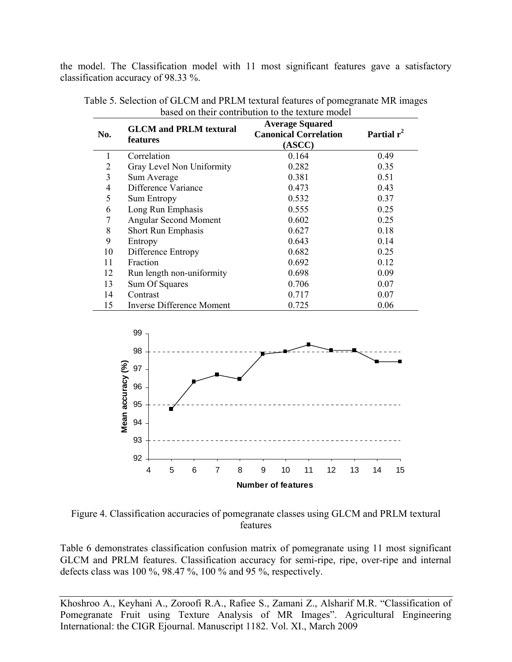the model. The Classification model with 11 most significant features gave a satisfactory classification accuracy of 98.33 %.

| No.            | <b>GLCM</b> and PRLM textural<br>features | <b>Average Squared</b><br><b>Canonical Correlation</b><br>(ASCC) | Partial $r^2$ |
|----------------|-------------------------------------------|------------------------------------------------------------------|---------------|
| 1              | Correlation                               | 0.164                                                            | 0.49          |
| 2              | Gray Level Non Uniformity                 | 0.282                                                            | 0.35          |
| 3              | Sum Average                               | 0.381                                                            | 0.51          |
| $\overline{4}$ | Difference Variance                       | 0.473                                                            | 0.43          |
| 5              | <b>Sum Entropy</b>                        | 0.532                                                            | 0.37          |
| 6              | Long Run Emphasis                         | 0.555                                                            | 0.25          |
| 7              | <b>Angular Second Moment</b>              | 0.602                                                            | 0.25          |
| 8              | <b>Short Run Emphasis</b>                 | 0.627                                                            | 0.18          |
| 9              | Entropy                                   | 0.643                                                            | 0.14          |
| 10             | Difference Entropy                        | 0.682                                                            | 0.25          |
| 11             | Fraction                                  | 0.692                                                            | 0.12          |
| 12             | Run length non-uniformity                 | 0.698                                                            | 0.09          |
| 13             | Sum Of Squares                            | 0.706                                                            | 0.07          |
| 14             | Contrast                                  | 0.717                                                            | 0.07          |
| 15             | <b>Inverse Difference Moment</b>          | 0.725                                                            | 0.06          |

Table 5. Selection of GLCM and PRLM textural features of pomegranate MR images based on their contribution to the texture model



Figure 4. Classification accuracies of pomegranate classes using GLCM and PRLM textural features

Table 6 demonstrates classification confusion matrix of pomegranate using 11 most significant GLCM and PRLM features. Classification accuracy for semi-ripe, ripe, over-ripe and internal defects class was 100 %, 98.47 %, 100 % and 95 %, respectively.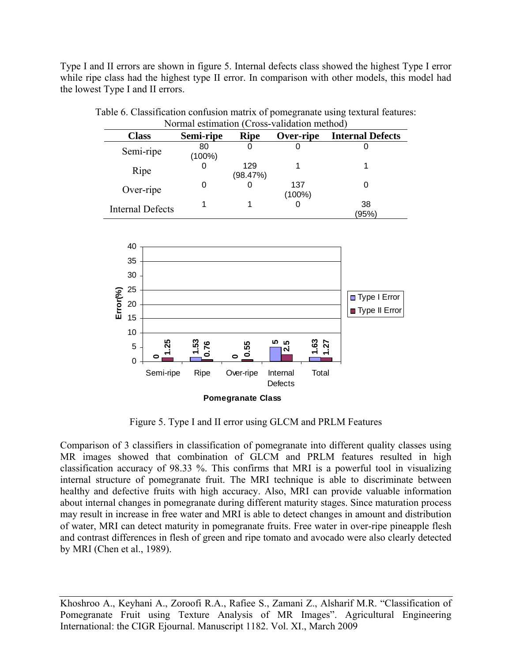Type I and II errors are shown in figure 5. Internal defects class showed the highest Type I error while ripe class had the highest type II error. In comparison with other models, this model had the lowest Type I and II errors.

| NOTHIAI estimation (Cross-Vandation method) |           |             |           |                         |  |
|---------------------------------------------|-----------|-------------|-----------|-------------------------|--|
| <b>Class</b>                                | Semi-ripe | <b>Ripe</b> | Over-ripe | <b>Internal Defects</b> |  |
| Semi-ripe                                   | 80        |             |           |                         |  |
|                                             | (100%)    |             |           |                         |  |
| Ripe                                        |           | 129         |           |                         |  |
|                                             |           | (98.47%)    |           |                         |  |
| Over-ripe                                   | 0         |             | 137       |                         |  |
|                                             |           |             | $(100\%)$ |                         |  |
| <b>Internal Defects</b>                     |           |             |           | 38                      |  |
|                                             |           |             |           | (95%)                   |  |

| Table 6. Classification confusion matrix of pomegranate using textural features: |  |  |
|----------------------------------------------------------------------------------|--|--|
| Normal estimation (Cross-validation method)                                      |  |  |



Figure 5. Type I and II error using GLCM and PRLM Features

Comparison of 3 classifiers in classification of pomegranate into different quality classes using MR images showed that combination of GLCM and PRLM features resulted in high classification accuracy of 98.33 %. This confirms that MRI is a powerful tool in visualizing internal structure of pomegranate fruit. The MRI technique is able to discriminate between healthy and defective fruits with high accuracy. Also, MRI can provide valuable information about internal changes in pomegranate during different maturity stages. Since maturation process may result in increase in free water and MRI is able to detect changes in amount and distribution of water, MRI can detect maturity in pomegranate fruits. Free water in over-ripe pineapple flesh and contrast differences in flesh of green and ripe tomato and avocado were also clearly detected by MRI (Chen et al., 1989).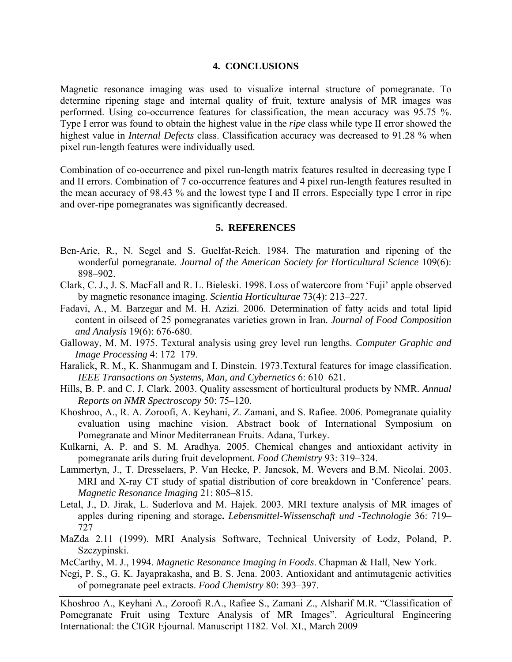#### **4. CONCLUSIONS**

Magnetic resonance imaging was used to visualize internal structure of pomegranate. To determine ripening stage and internal quality of fruit, texture analysis of MR images was performed. Using co-occurrence features for classification, the mean accuracy was 95.75 %. Type I error was found to obtain the highest value in the *ripe* class while type II error showed the highest value in *Internal Defects* class. Classification accuracy was decreased to 91.28 % when pixel run-length features were individually used.

Combination of co-occurrence and pixel run-length matrix features resulted in decreasing type I and II errors. Combination of 7 co-occurrence features and 4 pixel run-length features resulted in the mean accuracy of 98.43 % and the lowest type I and II errors. Especially type I error in ripe and over-ripe pomegranates was significantly decreased.

#### **5. REFERENCES**

- Ben-Arie, R., N. Segel and S. Guelfat-Reich. 1984. The maturation and ripening of the wonderful pomegranate. *Journal of the American Society for Horticultural Science* 109(6): 898–902.
- Clark, C. J., J. S. MacFall and R. L. Bieleski. 1998. Loss of watercore from 'Fuji' apple observed by magnetic resonance imaging. *Scientia Horticulturae* 73(4): 213–227.
- Fadavi, A., M. Barzegar and M. H. Azizi. 2006. Determination of fatty acids and total lipid content in oilseed of 25 pomegranates varieties grown in Iran. *Journal of Food Composition and Analysis* [19\(6\)](http://www.sciencedirect.com/science?_ob=PublicationURL&_tockey=%23TOC%236879%232006%23999809993%23625152%23FLA%23&_cdi=6879&_pubType=J&view=c&_auth=y&_acct=C000050221&_version=1&_urlVersion=0&_userid=10&md5=3147524350c2735457f475c39ab74641): 676-680.
- Galloway, M. M. 1975. Textural analysis using grey level run lengths. *Computer Graphic and Image Processing* 4: 172–179.
- Haralick, R. M., K. Shanmugam and I. Dinstein. 1973.Textural features for image classification. *IEEE Transactions on Systems, Man, and Cybernetics* 6: 610–621.
- Hills, B. P. and C. J. Clark. 2003. Quality assessment of horticultural products by NMR. *Annual Reports on NMR Spectroscopy* 50: 75–120.
- Khoshroo, A., R. A. Zoroofi, A. Keyhani, Z. Zamani, and S. Rafiee. 2006. Pomegranate quiality evaluation using machine vision. Abstract book of International Symposium on Pomegranate and Minor Mediterranean Fruits. Adana, Turkey.
- Kulkarni, A. P. and S. M. Aradhya. 2005. Chemical changes and antioxidant activity in pomegranate arils during fruit development. *Food Chemistry* 93: 319–324.
- Lammertyn, J., T. Dresselaers, P. Van Hecke, P. Jancsok, M. Wevers and B.M. Nicolai. 2003. MRI and X-ray CT study of spatial distribution of core breakdown in 'Conference' pears. *Magnetic Resonance Imaging* 21: 805–815.
- Letal, J., D. Jirak, L. Suderlova and M. Hajek. 2003. MRI texture analysis of MR images of apples during ripening and storage**.** *[Lebensmittel-Wissenschaft und -Technologie](http://www.google.com/url?sa=U&start=2&q=http://vls.icm.edu.pl/cgi-bin/sciserv.pl%3Fcollection%3Delsevier%26journal%3D00236438&ei=u2_ISf7KFeS1jAeH-7nYAw&usg=AFQjCNFP7jmwn61OS2fh4icppiRCLIQYBA)* 36: 719– 727
- MaZda 2.11 (1999). MRI Analysis Software, Technical University of Łodz, Poland, P. Szczypinski.
- McCarthy, M. J., 1994. *Magnetic Resonance Imaging in Foods*. Chapman & Hall, New York.
- Negi, P. S., G. K. Jayaprakasha, and B. S. Jena. 2003. Antioxidant and antimutagenic activities of pomegranate peel extracts. *Food Chemistry* 80: 393–397.